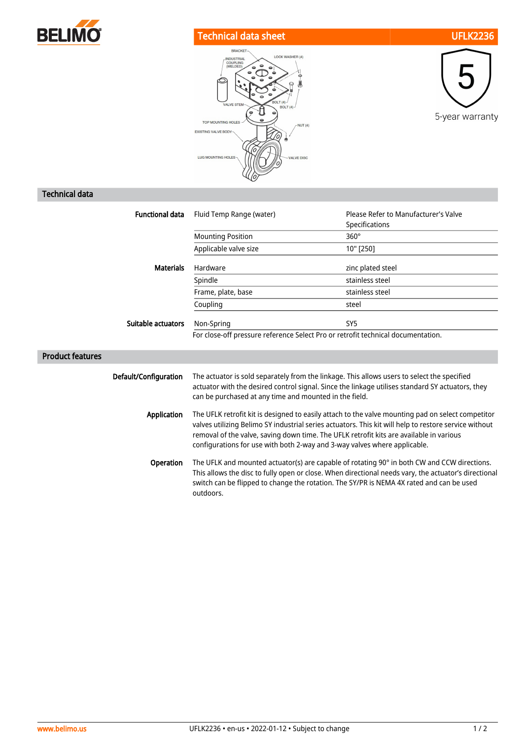

## Technical data sheet UFLK2236





## Technical data

| <b>Functional data</b>  | Fluid Temp Range (water)                                                                                                                                                                                                                                                                                                                                                           | Please Refer to Manufacturer's Valve<br>Specifications |
|-------------------------|------------------------------------------------------------------------------------------------------------------------------------------------------------------------------------------------------------------------------------------------------------------------------------------------------------------------------------------------------------------------------------|--------------------------------------------------------|
|                         | <b>Mounting Position</b>                                                                                                                                                                                                                                                                                                                                                           | $360^\circ$                                            |
|                         | Applicable valve size                                                                                                                                                                                                                                                                                                                                                              | 10" [250]                                              |
| <b>Materials</b>        | Hardware                                                                                                                                                                                                                                                                                                                                                                           | zinc plated steel                                      |
|                         | Spindle                                                                                                                                                                                                                                                                                                                                                                            | stainless steel                                        |
|                         | Frame, plate, base                                                                                                                                                                                                                                                                                                                                                                 | stainless steel                                        |
|                         | Coupling                                                                                                                                                                                                                                                                                                                                                                           | steel                                                  |
| Suitable actuators      | Non-Spring                                                                                                                                                                                                                                                                                                                                                                         | SY <sub>5</sub>                                        |
|                         | For close-off pressure reference Select Pro or retrofit technical documentation.                                                                                                                                                                                                                                                                                                   |                                                        |
| <b>Product features</b> |                                                                                                                                                                                                                                                                                                                                                                                    |                                                        |
| Default/Configuration   | The actuator is sold separately from the linkage. This allows users to select the specified<br>actuator with the desired control signal. Since the linkage utilises standard SY actuators, they<br>can be purchased at any time and mounted in the field.                                                                                                                          |                                                        |
| Application             | The UFLK retrofit kit is designed to easily attach to the valve mounting pad on select competitor<br>valves utilizing Belimo SY industrial series actuators. This kit will help to restore service without<br>removal of the valve, saving down time. The UFLK retrofit kits are available in various<br>configurations for use with both 2-way and 3-way valves where applicable. |                                                        |
| Operation               | The UFLK and mounted actuator(s) are capable of rotating 90° in both CW and CCW directions.<br>This allows the disc to fully open or close. When directional needs vary, the actuator's directional<br>switch can be flipped to change the rotation. The SY/PR is NEMA 4X rated and can be used<br>outdoors.                                                                       |                                                        |